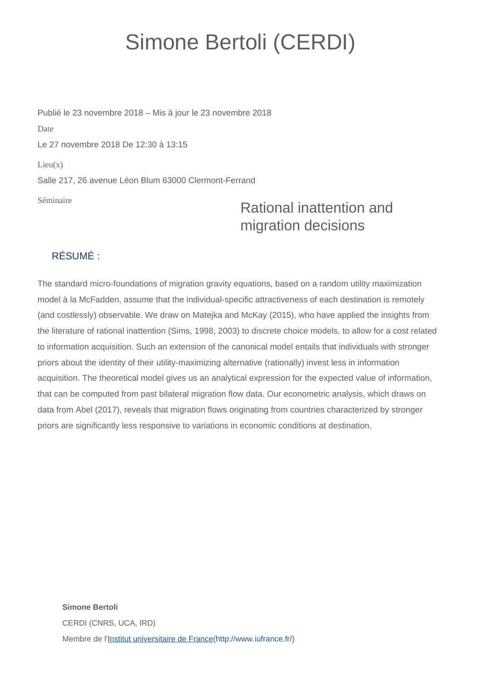## Simone Bertoli (CERDI)

Séminaire Publié le 23 novembre 2018 – Mis à jour le 23 novembre 2018 Date Le 27 novembre 2018 De 12:30 à 13:15  $Lieu(x)$ Salle 217, 26 avenue Léon Blum 63000 Clermont-Ferrand

## Rational inattention and migration decisions

## RÉSUMÉ :

The standard micro-foundations of migration gravity equations, based on a random utility maximization model à la McFadden, assume that the individual-specific attractiveness of each destination is remotely (and costlessly) observable. We draw on Matejka and McKay (2015), who have applied the insights from the literature of rational inattention (Sims, 1998, 2003) to discrete choice models, to allow for a cost related to information acquisition. Such an extension of the canonical model entails that individuals with stronger priors about the identity of their utility-maximizing alternative (rationally) invest less in information acquisition. The theoretical model gives us an analytical expression for the expected value of information, that can be computed from past bilateral migration flow data. Our econometric analysis, which draws on data from Abel (2017), reveals that migration flows originating from countries characterized by stronger priors are significantly less responsive to variations in economic conditions at destination.